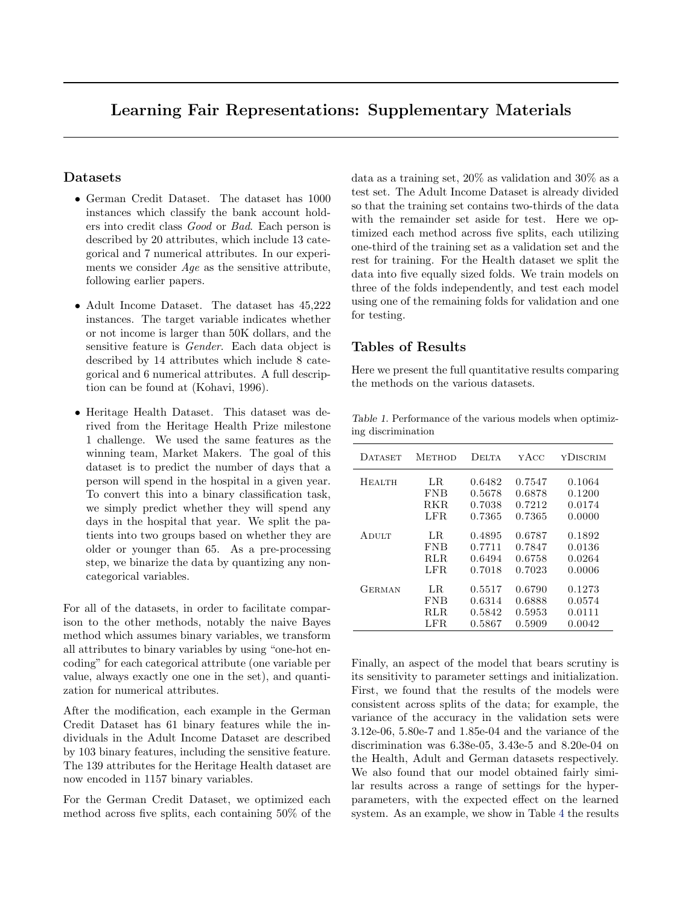## Learning Fair Representations: Supplementary Materials

## Datasets

- German Credit Dataset. The dataset has 1000 instances which classify the bank account holders into credit class Good or Bad. Each person is described by 20 attributes, which include 13 categorical and 7 numerical attributes. In our experiments we consider *Age* as the sensitive attribute, following earlier papers.
- Adult Income Dataset. The dataset has  $45,222$ instances. The target variable indicates whether or not income is larger than 50K dollars, and the sensitive feature is *Gender*. Each data object is described by 14 attributes which include 8 categorical and 6 numerical attributes. A full description can be found at (Kohavi, 1996).
- Heritage Health Dataset. This dataset was derived from the Heritage Health Prize milestone 1 challenge. We used the same features as the winning team, Market Makers. The goal of this dataset is to predict the number of days that a person will spend in the hospital in a given year. To convert this into a binary classification task, we simply predict whether they will spend any days in the hospital that year. We split the patients into two groups based on whether they are older or younger than 65. As a pre-processing step, we binarize the data by quantizing any noncategorical variables.

For all of the datasets, in order to facilitate comparison to the other methods, notably the naive Bayes method which assumes binary variables, we transform all attributes to binary variables by using "one-hot encoding" for each categorical attribute (one variable per value, always exactly one one in the set), and quantization for numerical attributes.

After the modification, each example in the German Credit Dataset has 61 binary features while the individuals in the Adult Income Dataset are described by 103 binary features, including the sensitive feature. The 139 attributes for the Heritage Health dataset are now encoded in 1157 binary variables.

For the German Credit Dataset, we optimized each method across five splits, each containing 50% of the data as a training set, 20% as validation and 30% as a test set. The Adult Income Dataset is already divided so that the training set contains two-thirds of the data with the remainder set aside for test. Here we optimized each method across five splits, each utilizing one-third of the training set as a validation set and the rest for training. For the Health dataset we split the data into five equally sized folds. We train models on three of the folds independently, and test each model using one of the remaining folds for validation and one for testing.

## Tables of Results

Here we present the full quantitative results comparing the methods on the various datasets.

Table 1. Performance of the various models when optimizing discrimination

| DATASET       | Метнор                    | <b>DELTA</b>               | уАсс                       | YDISCRIM                   |
|---------------|---------------------------|----------------------------|----------------------------|----------------------------|
| Неаітн        | LR.<br><b>FNB</b><br>RKR. | 0.6482<br>0.5678<br>0.7038 | 0.7547<br>0.6878<br>0.7212 | 0.1064<br>0.1200<br>0.0174 |
|               | LFR.                      | 0.7365                     | 0.7365                     | 0.0000                     |
| Adult         | LR.                       | 0.4895                     | 0.6787                     | 0.1892                     |
|               | <b>FNB</b><br>RLR.        | 0.7711<br>0.6494           | 0.7847<br>0.6758           | 0.0136<br>0.0264           |
|               | LFR.                      | 0.7018                     | 0.7023                     | 0.0006                     |
| <b>GERMAN</b> | LR.                       | 0.5517                     | 0.6790                     | 0.1273                     |
|               | <b>FNB</b>                | 0.6314                     | 0.6888                     | 0.0574                     |
|               | RLR.                      | 0.5842                     | 0.5953                     | 0.0111                     |
|               | $_{\rm LFR}$              | 0.5867                     | 0.5909                     | 0.0042                     |

Finally, an aspect of the model that bears scrutiny is its sensitivity to parameter settings and initialization. First, we found that the results of the models were consistent across splits of the data; for example, the variance of the accuracy in the validation sets were 3.12e-06, 5.80e-7 and 1.85e-04 and the variance of the discrimination was 6.38e-05, 3.43e-5 and 8.20e-04 on the Health, Adult and German datasets respectively. We also found that our model obtained fairly similar results across a range of settings for the hyperparameters, with the expected effect on the learned system. As an example, we show in Table [4](#page-1-0) the results